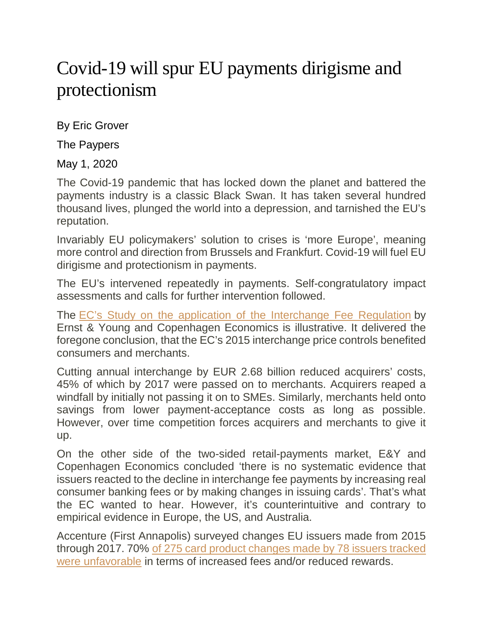## Covid-19 will spur EU payments dirigisme and protectionism

By Eric Grover

The Paypers

May 1, 2020

The Covid-19 pandemic that has locked down the planet and battered the payments industry is a classic Black Swan. It has taken several hundred thousand lives, plunged the world into a depression, and tarnished the EU's reputation.

Invariably EU policymakers' solution to crises is 'more Europe', meaning more control and direction from Brussels and Frankfurt. Covid-19 will fuel EU dirigisme and protectionism in payments.

The EU's intervened repeatedly in payments. Self-congratulatory impact assessments and calls for further intervention followed.

The [EC's Study on the application of the Interchange Fee Regulation](https://ec.europa.eu/competition/publications/reports/kd0120161enn.pdf) by Ernst & Young and Copenhagen Economics is illustrative. It delivered the foregone conclusion, that the EC's 2015 interchange price controls benefited consumers and merchants.

Cutting annual interchange by EUR 2.68 billion reduced acquirers' costs, 45% of which by 2017 were passed on to merchants. Acquirers reaped a windfall by initially not passing it on to SMEs. Similarly, merchants held onto savings from lower payment-acceptance costs as long as possible. However, over time competition forces acquirers and merchants to give it up.

On the other side of the two-sided retail-payments market, E&Y and Copenhagen Economics concluded 'there is no systematic evidence that issuers reacted to the decline in interchange fee payments by increasing real consumer banking fees or by making changes in issuing cards'. That's what the EC wanted to hear. However, it's counterintuitive and contrary to empirical evidence in Europe, the US, and Australia.

Accenture (First Annapolis) surveyed changes EU issuers made from 2015 through 2017. 70% [of 275 card product changes made by 78 issuers tracked](https://www.paymentscardsandmobile.com/european-payment-card-products/)  [were unfavorable](https://www.paymentscardsandmobile.com/european-payment-card-products/) in terms of increased fees and/or reduced rewards.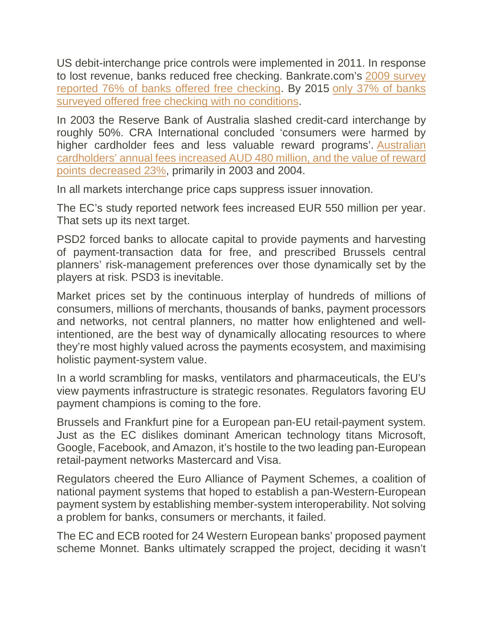US debit-interchange price controls were implemented in 2011. In response to lost revenue, banks reduced free checking. Bankrate.com's [2009 survey](https://www.bankrate.com/banking/checking/smart-banking-free-checking-not-always-free/)  [reported 76% of banks offered free checking.](https://www.bankrate.com/banking/checking/smart-banking-free-checking-not-always-free/) By 2015 [only 37% of banks](https://www.bankrate.com/banking/checking/another-record-setting-year-for-checking-account-fees/#slide=2)  [surveyed offered free checking with no conditions.](https://www.bankrate.com/banking/checking/another-record-setting-year-for-checking-account-fees/#slide=2)

In 2003 the Reserve Bank of Australia slashed credit-card interchange by roughly 50%. CRA International concluded 'consumers were harmed by higher cardholder fees and less valuable reward programs'. [Australian](https://www.rba.gov.au/payments-and-infrastructure/payments-system-regulation/past-regulatory-reviews/review-of-card-payment-systems-reforms/pdf/review-0708-pre-conclusions/cra-28042008-2.pdf)  [cardholders' annual fees increased AUD 480 million, and the value of reward](https://www.rba.gov.au/payments-and-infrastructure/payments-system-regulation/past-regulatory-reviews/review-of-card-payment-systems-reforms/pdf/review-0708-pre-conclusions/cra-28042008-2.pdf)  [points decreased 23%,](https://www.rba.gov.au/payments-and-infrastructure/payments-system-regulation/past-regulatory-reviews/review-of-card-payment-systems-reforms/pdf/review-0708-pre-conclusions/cra-28042008-2.pdf) primarily in 2003 and 2004.

In all markets interchange price caps suppress issuer innovation.

The EC's study reported network fees increased EUR 550 million per year. That sets up its next target.

PSD2 forced banks to allocate capital to provide payments and harvesting of payment-transaction data for free, and prescribed Brussels central planners' risk-management preferences over those dynamically set by the players at risk. PSD3 is inevitable.

Market prices set by the continuous interplay of hundreds of millions of consumers, millions of merchants, thousands of banks, payment processors and networks, not central planners, no matter how enlightened and wellintentioned, are the best way of dynamically allocating resources to where they're most highly valued across the payments ecosystem, and maximising holistic payment-system value.

In a world scrambling for masks, ventilators and pharmaceuticals, the EU's view payments infrastructure is strategic resonates. Regulators favoring EU payment champions is coming to the fore.

Brussels and Frankfurt pine for a European pan-EU retail-payment system. Just as the EC dislikes dominant American technology titans Microsoft, Google, Facebook, and Amazon, it's hostile to the two leading pan-European retail-payment networks Mastercard and Visa.

Regulators cheered the Euro Alliance of Payment Schemes, a coalition of national payment systems that hoped to establish a pan-Western-European payment system by establishing member-system interoperability. Not solving a problem for banks, consumers or merchants, it failed.

The EC and ECB rooted for 24 Western European banks' proposed payment scheme Monnet. Banks ultimately scrapped the project, deciding it wasn't